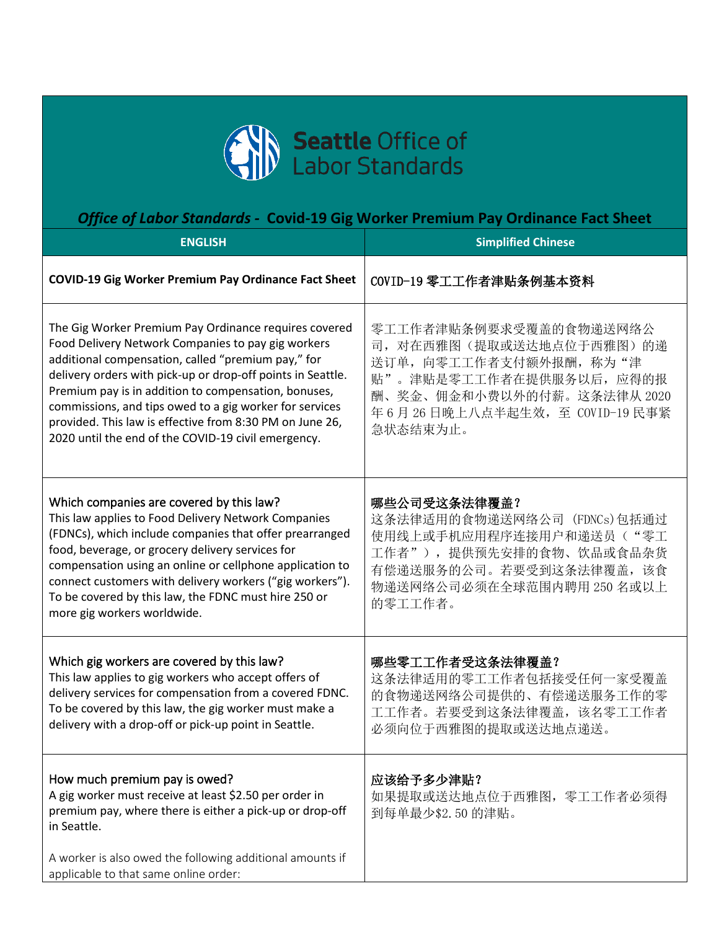

## *Office of Labor Standards -* **Covid-19 Gig Worker Premium Pay Ordinance Fact Sheet**

| <b>ENGLISH</b>                                                                                                                                                                                                                                                                                                                                                                                                                                                         | <b>Simplified Chinese</b>                                                                                                                                                                |
|------------------------------------------------------------------------------------------------------------------------------------------------------------------------------------------------------------------------------------------------------------------------------------------------------------------------------------------------------------------------------------------------------------------------------------------------------------------------|------------------------------------------------------------------------------------------------------------------------------------------------------------------------------------------|
| <b>COVID-19 Gig Worker Premium Pay Ordinance Fact Sheet</b>                                                                                                                                                                                                                                                                                                                                                                                                            | COVID-19 零工工作者津贴条例基本资料                                                                                                                                                                   |
| The Gig Worker Premium Pay Ordinance requires covered<br>Food Delivery Network Companies to pay gig workers<br>additional compensation, called "premium pay," for<br>delivery orders with pick-up or drop-off points in Seattle.<br>Premium pay is in addition to compensation, bonuses,<br>commissions, and tips owed to a gig worker for services<br>provided. This law is effective from 8:30 PM on June 26,<br>2020 until the end of the COVID-19 civil emergency. | 零工工作者津贴条例要求受覆盖的食物递送网络公<br>司, 对在西雅图(提取或送达地点位于西雅图)的递<br>送订单, 向零工工作者支付额外报酬, 称为"津<br>贴"。津贴是零工工作者在提供服务以后, 应得的报<br>酬、奖金、佣金和小费以外的付薪。这条法律从 2020<br>年 6 月 26 日晚上八点半起生效,至 COVID-19 民事紧<br>急状态结束为止。 |
| Which companies are covered by this law?<br>This law applies to Food Delivery Network Companies<br>(FDNCs), which include companies that offer prearranged<br>food, beverage, or grocery delivery services for<br>compensation using an online or cellphone application to<br>connect customers with delivery workers ("gig workers").<br>To be covered by this law, the FDNC must hire 250 or<br>more gig workers worldwide.                                          | 哪些公司受这条法律覆盖?<br>这条法律适用的食物递送网络公司 (FDNCs)包括通过<br>使用线上或手机应用程序连接用户和递送员("零工<br>工作者"), 提供预先安排的食物、饮品或食品杂货<br>有偿递送服务的公司。若要受到这条法律覆盖, 该食<br>物递送网络公司必须在全球范围内聘用 250 名或以上<br>的零工工作者。                  |
| Which gig workers are covered by this law?<br>This law applies to gig workers who accept offers of<br>delivery services for compensation from a covered FDNC.<br>To be covered by this law, the gig worker must make a<br>delivery with a drop-off or pick-up point in Seattle.                                                                                                                                                                                        | 哪些零工工作者受这条法律覆盖?<br>这条法律适用的零工工作者包括接受任何一家受覆盖<br>的食物递送网络公司提供的、有偿递送服务工作的零<br>工工作者。若要受到这条法律覆盖, 该名零工工作者<br>必须向位于西雅图的提取或送达地点递送。                                                                 |
| How much premium pay is owed?<br>A gig worker must receive at least \$2.50 per order in<br>premium pay, where there is either a pick-up or drop-off<br>in Seattle.<br>A worker is also owed the following additional amounts if<br>applicable to that same online order:                                                                                                                                                                                               | 应该给予多少津贴?<br>如果提取或送达地点位于西雅图, 零工工作者必须得<br>到每单最少\$2.50的津贴。                                                                                                                                 |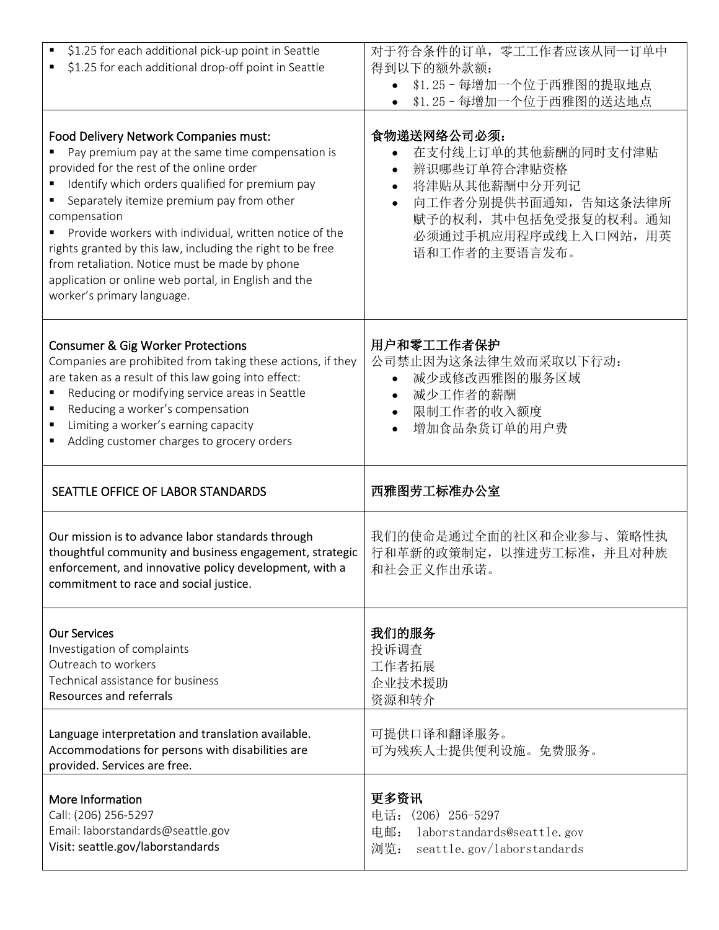| \$1.25 for each additional pick-up point in Seattle<br>\$1.25 for each additional drop-off point in Seattle<br>٠                                                                                                                                                                                                                                                                                                                                                                                                       | 对于符合条件的订单, 零工工作者应该从同一订单中<br>得到以下的额外款额:<br>\$1.25-每增加一个位于西雅图的提取地点<br>\$1.25-每增加一个位于西雅图的送达地点                                                                                                |
|------------------------------------------------------------------------------------------------------------------------------------------------------------------------------------------------------------------------------------------------------------------------------------------------------------------------------------------------------------------------------------------------------------------------------------------------------------------------------------------------------------------------|-------------------------------------------------------------------------------------------------------------------------------------------------------------------------------------------|
| Food Delivery Network Companies must:<br>Pay premium pay at the same time compensation is<br>provided for the rest of the online order<br>Identify which orders qualified for premium pay<br>Separately itemize premium pay from other<br>compensation<br>Provide workers with individual, written notice of the<br>rights granted by this law, including the right to be free<br>from retaliation. Notice must be made by phone<br>application or online web portal, in English and the<br>worker's primary language. | 食物递送网络公司必须:<br>在支付线上订单的其他薪酬的同时支付津贴<br>辨识哪些订单符合津贴资格<br>将津贴从其他薪酬中分开列记<br>$\bullet$<br>向工作者分别提供书面通知, 告知这条法律所<br>$\bullet$<br>赋予的权利, 其中包括免受报复的权利。通知<br>必须通过手机应用程序或线上入口网站, 用英<br>语和工作者的主要语言发布。 |
| <b>Consumer &amp; Gig Worker Protections</b><br>Companies are prohibited from taking these actions, if they<br>are taken as a result of this law going into effect:<br>Reducing or modifying service areas in Seattle<br>Reducing a worker's compensation<br>Limiting a worker's earning capacity<br>Adding customer charges to grocery orders                                                                                                                                                                         | 用户和零工工作者保护<br>公司禁止因为这条法律生效而采取以下行动:<br>减少或修改西雅图的服务区域<br>减少工作者的薪酬<br>限制工作者的收入额度<br>$\bullet$<br>增加食品杂货订单的用户费                                                                                |
| SEATTLE OFFICE OF LABOR STANDARDS                                                                                                                                                                                                                                                                                                                                                                                                                                                                                      | 西雅图劳工标准办公室                                                                                                                                                                                |
|                                                                                                                                                                                                                                                                                                                                                                                                                                                                                                                        |                                                                                                                                                                                           |
| Our mission is to advance labor standards through<br>thoughtful community and business engagement, strategic<br>enforcement, and innovative policy development, with a<br>commitment to race and social justice.                                                                                                                                                                                                                                                                                                       | 我们的使命是通过全面的社区和企业参与、策略性执<br>行和革新的政策制定, 以推进劳工标准, 并且对种族<br>和社会正义作出承诺。                                                                                                                        |
| <b>Our Services</b><br>Investigation of complaints<br>Outreach to workers<br>Technical assistance for business<br><b>Resources and referrals</b>                                                                                                                                                                                                                                                                                                                                                                       | 我们的服务<br>投诉调查<br>工作者拓展<br>企业技术援助<br>资源和转介                                                                                                                                                 |
| Language interpretation and translation available.<br>Accommodations for persons with disabilities are<br>provided. Services are free.                                                                                                                                                                                                                                                                                                                                                                                 | 可提供口译和翻译服务。<br>可为残疾人士提供便利设施。免费服务。                                                                                                                                                         |